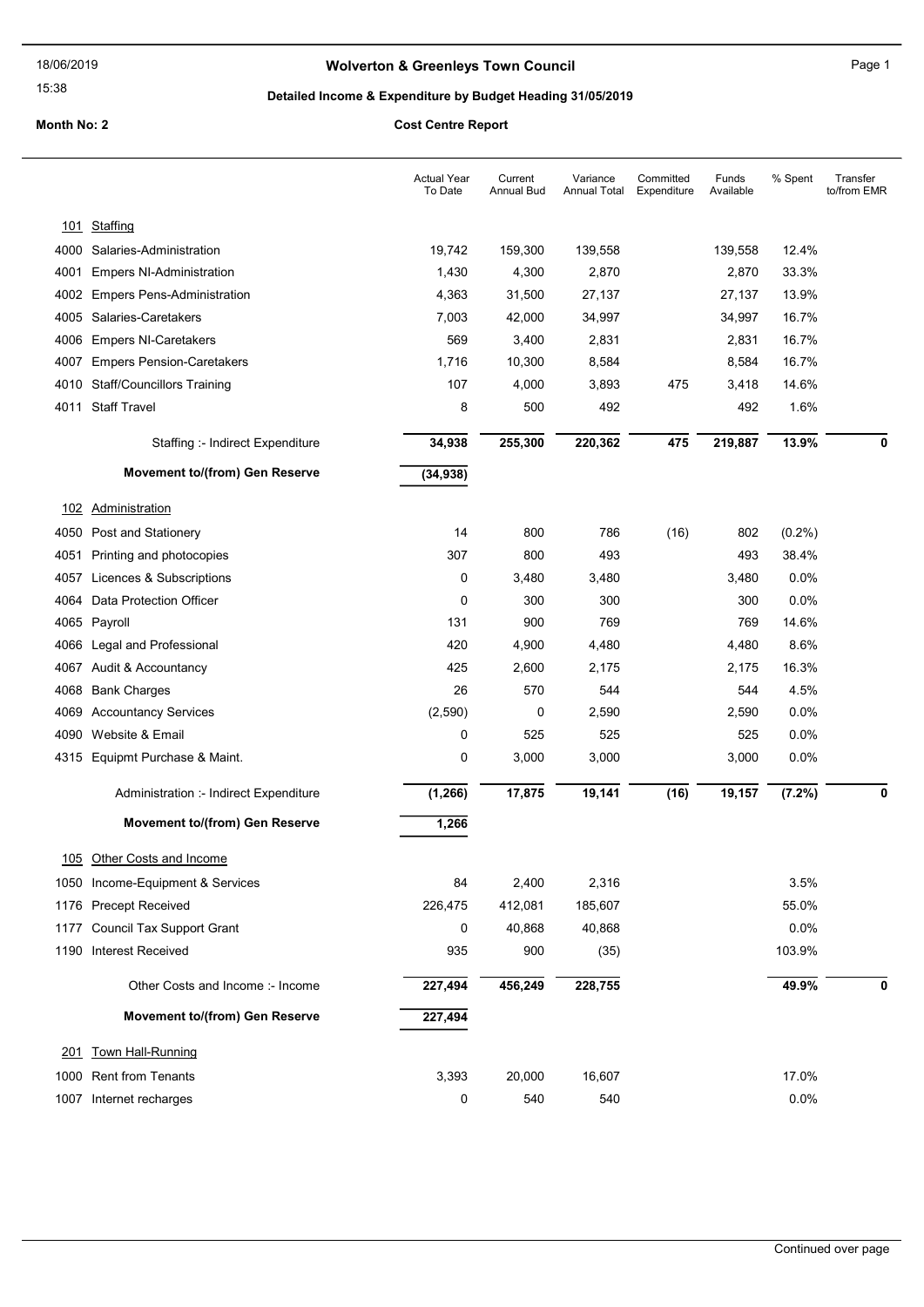# Wolverton & Greenleys Town Council Manual Page 1

15:38

# Detailed Income & Expenditure by Budget Heading 31/05/2019

|      |                                        | <b>Actual Year</b><br>To Date | Current<br>Annual Bud | Variance<br>Annual Total | Committed<br>Expenditure | Funds<br>Available | % Spent   | Transfer<br>to/from EMR |
|------|----------------------------------------|-------------------------------|-----------------------|--------------------------|--------------------------|--------------------|-----------|-------------------------|
|      | 101 Staffing                           |                               |                       |                          |                          |                    |           |                         |
|      | 4000 Salaries-Administration           | 19,742                        | 159,300               | 139,558                  |                          | 139,558            | 12.4%     |                         |
| 4001 | <b>Empers NI-Administration</b>        | 1,430                         | 4,300                 | 2,870                    |                          | 2,870              | 33.3%     |                         |
|      | 4002 Empers Pens-Administration        | 4,363                         | 31,500                | 27,137                   |                          | 27,137             | 13.9%     |                         |
| 4005 | Salaries-Caretakers                    | 7,003                         | 42,000                | 34,997                   |                          | 34,997             | 16.7%     |                         |
| 4006 | <b>Empers NI-Caretakers</b>            | 569                           | 3,400                 | 2,831                    |                          | 2,831              | 16.7%     |                         |
| 4007 | <b>Empers Pension-Caretakers</b>       | 1,716                         | 10,300                | 8,584                    |                          | 8,584              | 16.7%     |                         |
|      | 4010 Staff/Councillors Training        | 107                           | 4,000                 | 3,893                    | 475                      | 3,418              | 14.6%     |                         |
|      | 4011 Staff Travel                      | 8                             | 500                   | 492                      |                          | 492                | 1.6%      |                         |
|      | Staffing :- Indirect Expenditure       | 34,938                        | 255,300               | 220,362                  | 475                      | 219,887            | 13.9%     | 0                       |
|      | <b>Movement to/(from) Gen Reserve</b>  | (34, 938)                     |                       |                          |                          |                    |           |                         |
| 102  | Administration                         |                               |                       |                          |                          |                    |           |                         |
| 4050 | Post and Stationery                    | 14                            | 800                   | 786                      | (16)                     | 802                | $(0.2\%)$ |                         |
| 4051 | Printing and photocopies               | 307                           | 800                   | 493                      |                          | 493                | 38.4%     |                         |
| 4057 | Licences & Subscriptions               | 0                             | 3,480                 | 3,480                    |                          | 3,480              | 0.0%      |                         |
| 4064 | Data Protection Officer                | 0                             | 300                   | 300                      |                          | 300                | 0.0%      |                         |
|      | 4065 Payroll                           | 131                           | 900                   | 769                      |                          | 769                | 14.6%     |                         |
| 4066 | Legal and Professional                 | 420                           | 4,900                 | 4,480                    |                          | 4,480              | 8.6%      |                         |
| 4067 | Audit & Accountancy                    | 425                           | 2,600                 | 2,175                    |                          | 2,175              | 16.3%     |                         |
| 4068 | <b>Bank Charges</b>                    | 26                            | 570                   | 544                      |                          | 544                | 4.5%      |                         |
| 4069 | <b>Accountancy Services</b>            | (2,590)                       | 0                     | 2,590                    |                          | 2,590              | 0.0%      |                         |
| 4090 | Website & Email                        | 0                             | 525                   | 525                      |                          | 525                | 0.0%      |                         |
|      | 4315 Equipmt Purchase & Maint.         | 0                             | 3,000                 | 3,000                    |                          | 3,000              | 0.0%      |                         |
|      | Administration :- Indirect Expenditure | (1, 266)                      | 17,875                | 19,141                   | (16)                     | 19,157             | (7.2%)    | 0                       |
|      | <b>Movement to/(from) Gen Reserve</b>  | 1,266                         |                       |                          |                          |                    |           |                         |
|      | 105 Other Costs and Income             |                               |                       |                          |                          |                    |           |                         |
|      | 1050 Income-Equipment & Services       | 84                            | 2,400                 | 2,316                    |                          |                    | 3.5%      |                         |
|      | 1176 Precept Received                  | 226,475                       | 412,081               | 185,607                  |                          |                    | 55.0%     |                         |
|      | 1177 Council Tax Support Grant         | 0                             | 40,868                | 40,868                   |                          |                    | 0.0%      |                         |
|      | 1190 Interest Received                 | 935                           | 900                   | (35)                     |                          |                    | 103.9%    |                         |
|      | Other Costs and Income :- Income       | 227,494                       | 456,249               | 228,755                  |                          |                    | 49.9%     | 0                       |
|      | Movement to/(from) Gen Reserve         | 227,494                       |                       |                          |                          |                    |           |                         |
| 201  | <b>Town Hall-Running</b>               |                               |                       |                          |                          |                    |           |                         |
|      | 1000 Rent from Tenants                 | 3,393                         | 20,000                | 16,607                   |                          |                    | 17.0%     |                         |
|      | 1007 Internet recharges                | 0                             | 540                   | 540                      |                          |                    | 0.0%      |                         |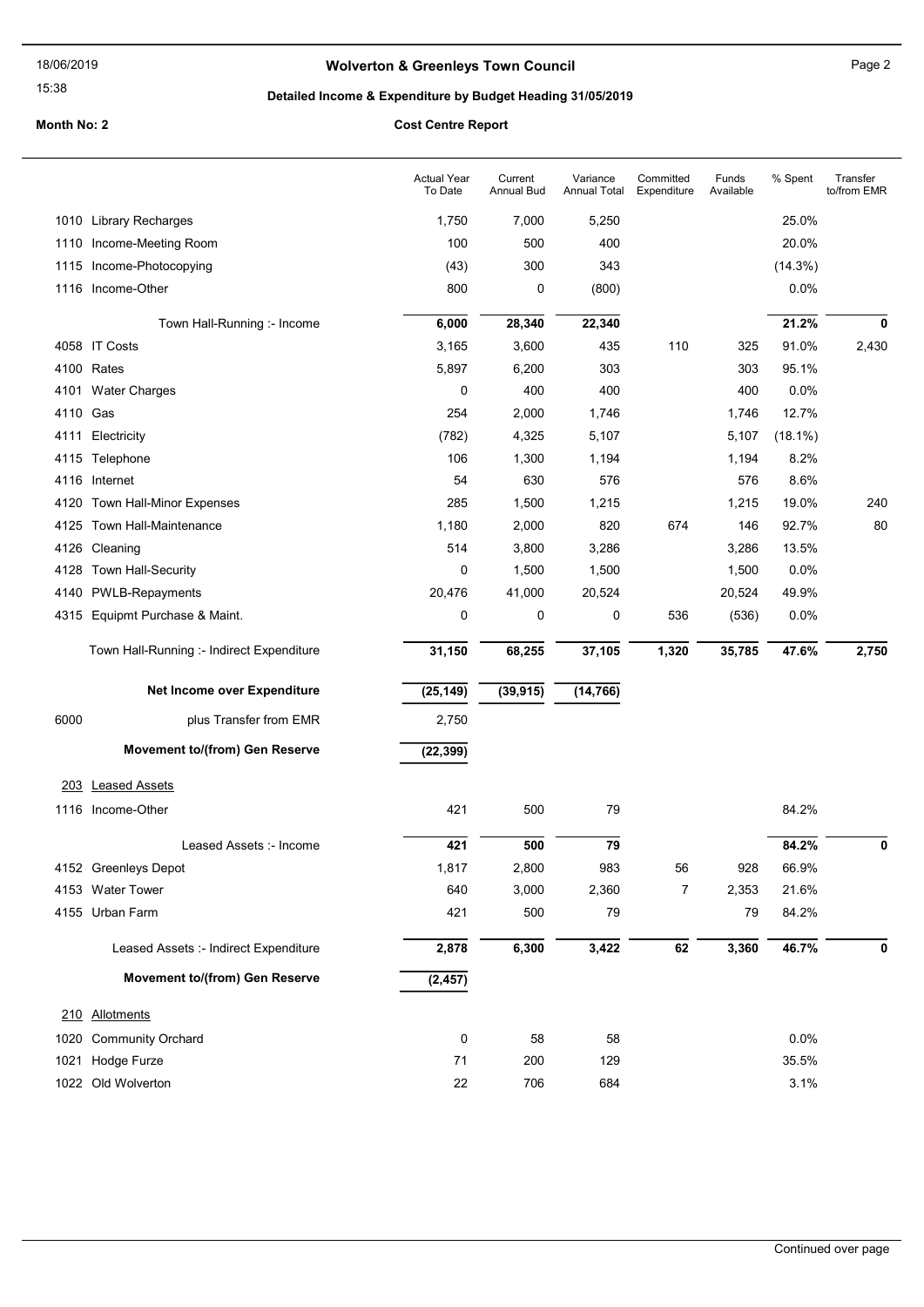15:38

# Wolverton & Greenleys Town Council Manuscripture of Page 2

# Detailed Income & Expenditure by Budget Heading 31/05/2019

|          |                                           | <b>Actual Year</b><br>To Date | Current<br><b>Annual Bud</b> | Variance<br><b>Annual Total</b> | Committed<br>Expenditure | Funds<br>Available | % Spent    | Transfer<br>to/from EMR |
|----------|-------------------------------------------|-------------------------------|------------------------------|---------------------------------|--------------------------|--------------------|------------|-------------------------|
|          | 1010 Library Recharges                    | 1,750                         | 7,000                        | 5,250                           |                          |                    | 25.0%      |                         |
| 1110     | Income-Meeting Room                       | 100                           | 500                          | 400                             |                          |                    | 20.0%      |                         |
| 1115     | Income-Photocopying                       | (43)                          | 300                          | 343                             |                          |                    | (14.3%)    |                         |
|          | 1116 Income-Other                         | 800                           | 0                            | (800)                           |                          |                    | 0.0%       |                         |
|          | Town Hall-Running :- Income               | 6,000                         | 28,340                       | 22,340                          |                          |                    | 21.2%      | 0                       |
|          | 4058 IT Costs                             | 3,165                         | 3,600                        | 435                             | 110                      | 325                | 91.0%      | 2,430                   |
|          | 4100 Rates                                | 5,897                         | 6,200                        | 303                             |                          | 303                | 95.1%      |                         |
| 4101     | <b>Water Charges</b>                      | 0                             | 400                          | 400                             |                          | 400                | 0.0%       |                         |
| 4110 Gas |                                           | 254                           | 2,000                        | 1,746                           |                          | 1,746              | 12.7%      |                         |
| 4111     | Electricity                               | (782)                         | 4,325                        | 5,107                           |                          | 5,107              | $(18.1\%)$ |                         |
|          | 4115 Telephone                            | 106                           | 1,300                        | 1,194                           |                          | 1,194              | 8.2%       |                         |
| 4116     | Internet                                  | 54                            | 630                          | 576                             |                          | 576                | 8.6%       |                         |
| 4120     | Town Hall-Minor Expenses                  | 285                           | 1,500                        | 1,215                           |                          | 1,215              | 19.0%      | 240                     |
| 4125     | <b>Town Hall-Maintenance</b>              | 1,180                         | 2,000                        | 820                             | 674                      | 146                | 92.7%      | 80                      |
|          | 4126 Cleaning                             | 514                           | 3,800                        | 3,286                           |                          | 3,286              | 13.5%      |                         |
|          | 4128 Town Hall-Security                   | $\mathbf 0$                   | 1,500                        | 1,500                           |                          | 1,500              | 0.0%       |                         |
| 4140     | <b>PWLB-Repayments</b>                    | 20,476                        | 41,000                       | 20,524                          |                          | 20,524             | 49.9%      |                         |
|          | 4315 Equipmt Purchase & Maint.            | 0                             | 0                            | 0                               | 536                      | (536)              | 0.0%       |                         |
|          | Town Hall-Running :- Indirect Expenditure | 31,150                        | 68,255                       | 37,105                          | 1,320                    | 35,785             | 47.6%      | 2,750                   |
|          | Net Income over Expenditure               | (25, 149)                     | (39, 915)                    | (14, 766)                       |                          |                    |            |                         |
| 6000     | plus Transfer from EMR                    | 2,750                         |                              |                                 |                          |                    |            |                         |
|          | Movement to/(from) Gen Reserve            | (22, 399)                     |                              |                                 |                          |                    |            |                         |
|          | 203 Leased Assets                         |                               |                              |                                 |                          |                    |            |                         |
|          | 1116 Income-Other                         | 421                           | 500                          | 79                              |                          |                    | 84.2%      |                         |
|          | Leased Assets :- Income                   | 421                           | 500                          | 79                              |                          |                    | 84.2%      | 0                       |
|          | 4152 Greenleys Depot                      | 1,817                         | 2,800                        | 983                             | 56                       | 928                | 66.9%      |                         |
|          | 4153 Water Tower                          | 640                           | 3,000                        | 2,360                           | $\overline{7}$           | 2,353              | 21.6%      |                         |
|          | 4155 Urban Farm                           | 421                           | 500                          | 79                              |                          | 79                 | 84.2%      |                         |
|          | Leased Assets :- Indirect Expenditure     | 2,878                         | 6,300                        | 3,422                           | 62                       | 3,360              | 46.7%      | 0                       |
|          | Movement to/(from) Gen Reserve            | (2, 457)                      |                              |                                 |                          |                    |            |                         |
|          | 210 Allotments                            |                               |                              |                                 |                          |                    |            |                         |
| 1020     | <b>Community Orchard</b>                  | 0                             | 58                           | 58                              |                          |                    | 0.0%       |                         |
| 1021     | Hodge Furze                               | 71                            | 200                          | 129                             |                          |                    | 35.5%      |                         |
|          | 1022 Old Wolverton                        | 22                            | 706                          | 684                             |                          |                    | 3.1%       |                         |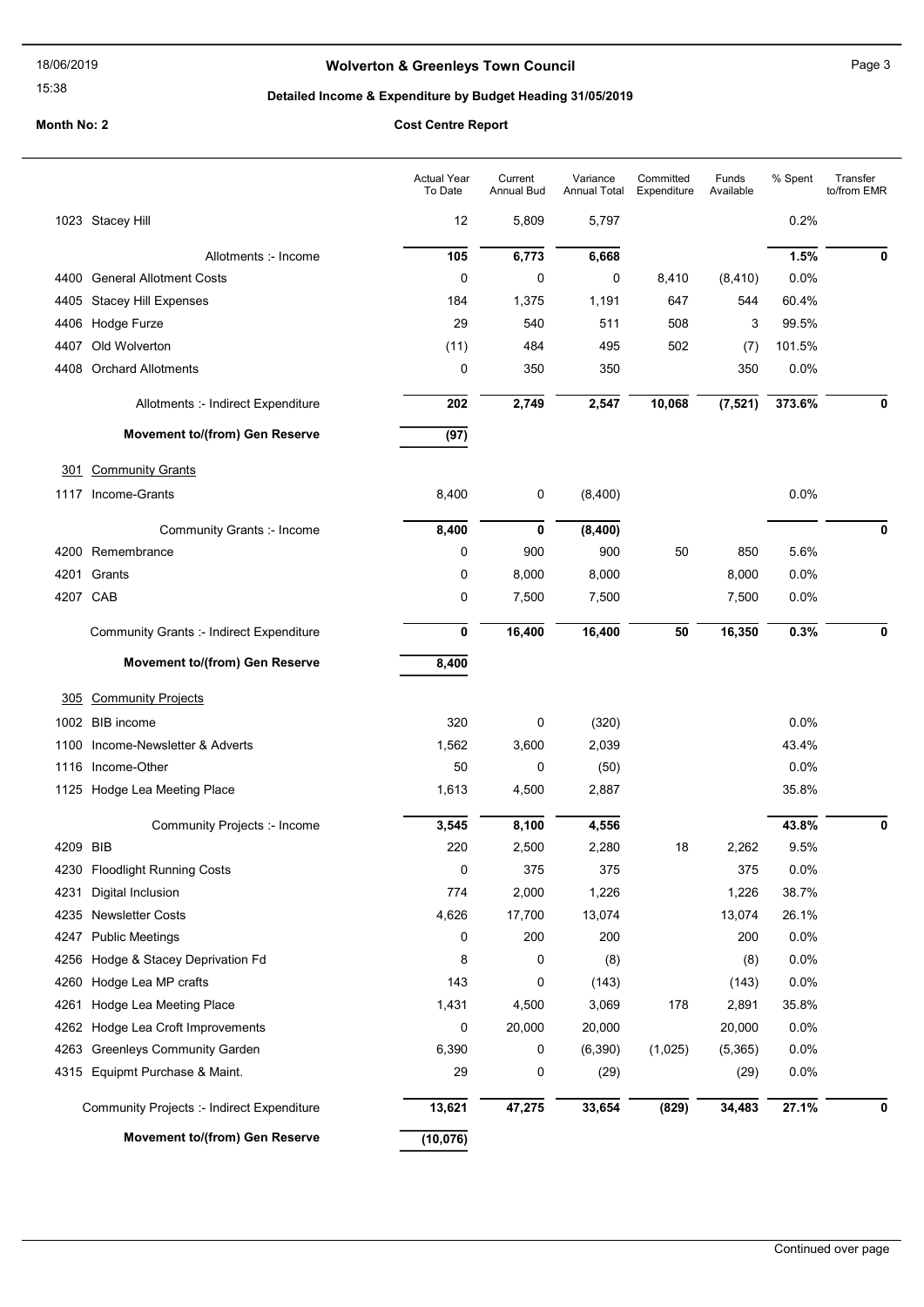15:38

# Wolverton & Greenleys Town Council Manuscripture of Page 3

# Detailed Income & Expenditure by Budget Heading 31/05/2019

|          |                                                 | <b>Actual Year</b><br>To Date | Current<br><b>Annual Bud</b> | Variance<br><b>Annual Total</b> | Committed<br>Expenditure | Funds<br>Available | % Spent | Transfer<br>to/from EMR |
|----------|-------------------------------------------------|-------------------------------|------------------------------|---------------------------------|--------------------------|--------------------|---------|-------------------------|
|          | 1023 Stacey Hill                                | 12                            | 5,809                        | 5,797                           |                          |                    | 0.2%    |                         |
|          | Allotments :- Income                            | 105                           | 6,773                        | 6,668                           |                          |                    | 1.5%    | 0                       |
|          | 4400 General Allotment Costs                    | 0                             | 0                            | 0                               | 8,410                    | (8, 410)           | 0.0%    |                         |
| 4405     | <b>Stacey Hill Expenses</b>                     | 184                           | 1,375                        | 1,191                           | 647                      | 544                | 60.4%   |                         |
|          | 4406 Hodge Furze                                | 29                            | 540                          | 511                             | 508                      | 3                  | 99.5%   |                         |
| 4407     | Old Wolverton                                   | (11)                          | 484                          | 495                             | 502                      | (7)                | 101.5%  |                         |
| 4408     | <b>Orchard Allotments</b>                       | 0                             | 350                          | 350                             |                          | 350                | 0.0%    |                         |
|          | Allotments :- Indirect Expenditure              | 202                           | 2,749                        | 2,547                           | 10,068                   | (7, 521)           | 373.6%  | 0                       |
|          | Movement to/(from) Gen Reserve                  | (97)                          |                              |                                 |                          |                    |         |                         |
| 301      | <b>Community Grants</b>                         |                               |                              |                                 |                          |                    |         |                         |
|          | 1117 Income-Grants                              | 8,400                         | 0                            | (8,400)                         |                          |                    | 0.0%    |                         |
|          | Community Grants :- Income                      | 8,400                         | 0                            | (8,400)                         |                          |                    |         | 0                       |
|          | 4200 Remembrance                                | 0                             | 900                          | 900                             | 50                       | 850                | 5.6%    |                         |
| 4201     | Grants                                          | 0                             | 8,000                        | 8,000                           |                          | 8,000              | 0.0%    |                         |
| 4207 CAB |                                                 | 0                             | 7,500                        | 7,500                           |                          | 7,500              | 0.0%    |                         |
|          | <b>Community Grants :- Indirect Expenditure</b> | 0                             | 16,400                       | 16,400                          | 50                       | 16,350             | 0.3%    | 0                       |
|          | Movement to/(from) Gen Reserve                  | 8,400                         |                              |                                 |                          |                    |         |                         |
| 305      | <b>Community Projects</b>                       |                               |                              |                                 |                          |                    |         |                         |
| 1002     | <b>BIB</b> income                               | 320                           | 0                            | (320)                           |                          |                    | 0.0%    |                         |
| 1100     | Income-Newsletter & Adverts                     | 1,562                         | 3,600                        | 2,039                           |                          |                    | 43.4%   |                         |
| 1116     | Income-Other                                    | 50                            | 0                            | (50)                            |                          |                    | 0.0%    |                         |
|          | 1125 Hodge Lea Meeting Place                    | 1,613                         | 4,500                        | 2,887                           |                          |                    | 35.8%   |                         |
|          | Community Projects :- Income                    | 3,545                         | 8,100                        | 4,556                           |                          |                    | 43.8%   | 0                       |
| 4209 BIB |                                                 | 220                           | 2,500                        | 2,280                           | 18                       | 2,262              | 9.5%    |                         |
| 4230     | <b>Floodlight Running Costs</b>                 | 0                             | 375                          | 375                             |                          | 375                | 0.0%    |                         |
| 4231     | Digital Inclusion                               | 774                           | 2,000                        | 1,226                           |                          | 1,226              | 38.7%   |                         |
| 4235     | <b>Newsletter Costs</b>                         | 4,626                         | 17,700                       | 13,074                          |                          | 13,074             | 26.1%   |                         |
| 4247     | <b>Public Meetings</b>                          | 0                             | 200                          | 200                             |                          | 200                | 0.0%    |                         |
| 4256     | Hodge & Stacey Deprivation Fd                   | 8                             | 0                            | (8)                             |                          | (8)                | 0.0%    |                         |
| 4260     | Hodge Lea MP crafts                             | 143                           | 0                            | (143)                           |                          | (143)              | 0.0%    |                         |
| 4261     | Hodge Lea Meeting Place                         | 1,431                         | 4,500                        | 3,069                           | 178                      | 2,891              | 35.8%   |                         |
| 4262     | Hodge Lea Croft Improvements                    | 0                             | 20,000                       | 20,000                          |                          | 20,000             | 0.0%    |                         |
| 4263     | <b>Greenleys Community Garden</b>               | 6,390                         | 0                            | (6, 390)                        | (1,025)                  | (5,365)            | 0.0%    |                         |
| 4315     | Equipmt Purchase & Maint.                       | 29                            | 0                            | (29)                            |                          | (29)               | 0.0%    |                         |
|          | Community Projects :- Indirect Expenditure      | 13,621                        | 47,275                       | 33,654                          | (829)                    | 34,483             | 27.1%   | 0                       |
|          | Movement to/(from) Gen Reserve                  | (10, 076)                     |                              |                                 |                          |                    |         |                         |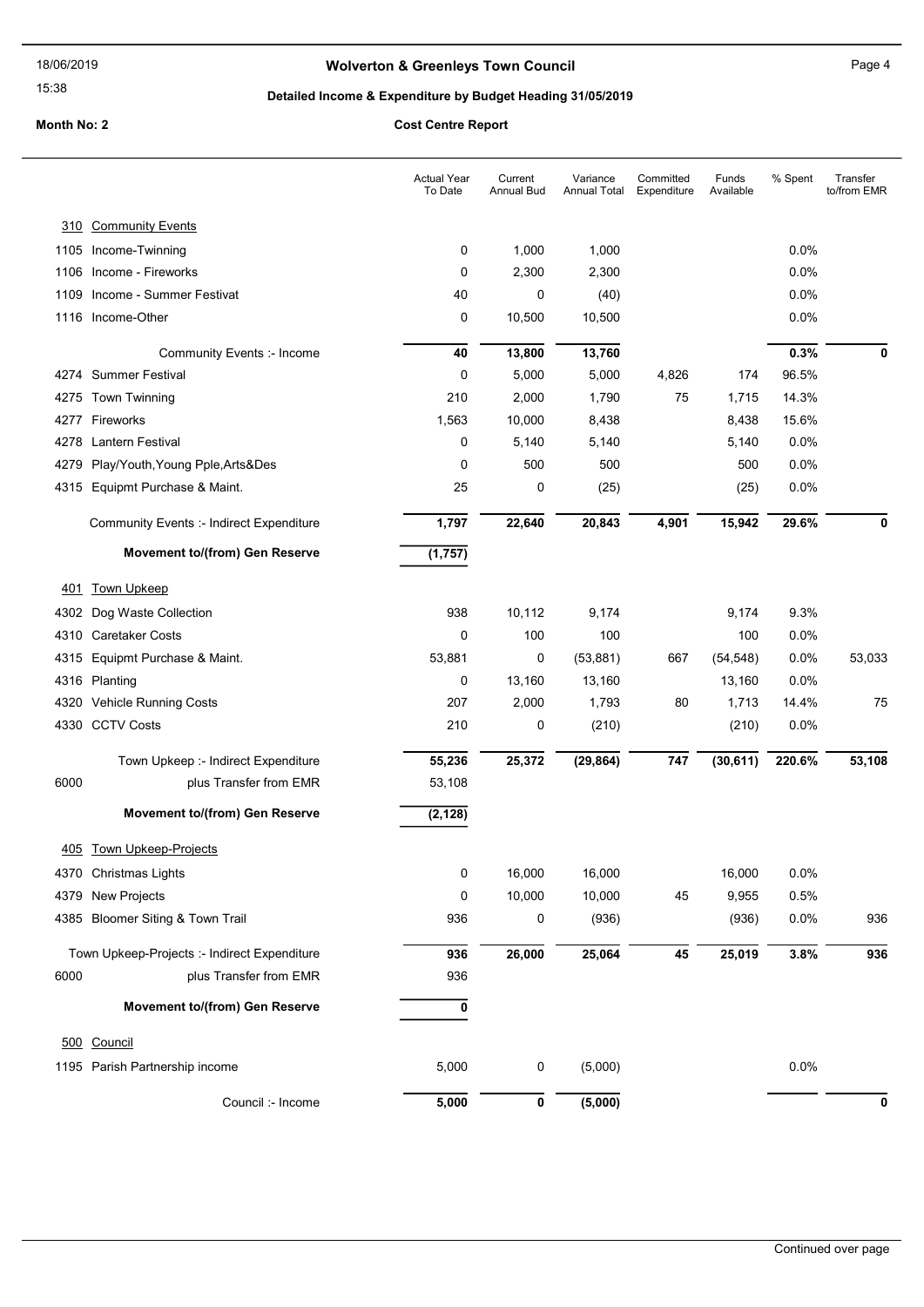# Wolverton & Greenleys Town Council Manuscripture of Page 4

15:38

# Detailed Income & Expenditure by Budget Heading 31/05/2019

|      |                                                           | <b>Actual Year</b><br>To Date | Current<br>Annual Bud | Variance<br>Annual Total | Committed<br>Expenditure | Funds<br>Available | % Spent       | Transfer<br>to/from EMR |
|------|-----------------------------------------------------------|-------------------------------|-----------------------|--------------------------|--------------------------|--------------------|---------------|-------------------------|
|      | 310 Community Events                                      |                               |                       |                          |                          |                    |               |                         |
|      | 1105 Income-Twinning                                      | 0                             | 1,000                 | 1,000                    |                          |                    | 0.0%          |                         |
| 1106 | Income - Fireworks                                        | 0                             | 2,300                 | 2,300                    |                          |                    | 0.0%          |                         |
| 1109 | Income - Summer Festivat                                  | 40                            | 0                     | (40)                     |                          |                    | 0.0%          |                         |
|      | 1116 Income-Other                                         | 0                             | 10,500                | 10,500                   |                          |                    | 0.0%          |                         |
|      |                                                           |                               |                       |                          |                          |                    |               |                         |
|      | <b>Community Events :- Income</b><br>4274 Summer Festival | 40<br>0                       | 13,800<br>5,000       | 13,760                   | 4,826                    | 174                | 0.3%<br>96.5% | 0                       |
|      | 4275 Town Twinning                                        | 210                           | 2,000                 | 5,000<br>1,790           | 75                       | 1,715              | 14.3%         |                         |
|      | 4277 Fireworks                                            | 1,563                         | 10,000                | 8,438                    |                          | 8,438              | 15.6%         |                         |
|      | 4278 Lantern Festival                                     | 0                             | 5,140                 | 5,140                    |                          | 5,140              | 0.0%          |                         |
|      | 4279 Play/Youth, Young Pple, Arts&Des                     | 0                             | 500                   | 500                      |                          | 500                | 0.0%          |                         |
|      | 4315 Equipmt Purchase & Maint.                            | 25                            | 0                     | (25)                     |                          | (25)               | 0.0%          |                         |
|      | <b>Community Events :- Indirect Expenditure</b>           | 1,797                         | 22,640                | 20,843                   | 4,901                    | 15,942             | 29.6%         | 0                       |
|      | Movement to/(from) Gen Reserve                            | (1,757)                       |                       |                          |                          |                    |               |                         |
| 401  | <b>Town Upkeep</b>                                        |                               |                       |                          |                          |                    |               |                         |
| 4302 | Dog Waste Collection                                      | 938                           | 10,112                | 9,174                    |                          | 9,174              | 9.3%          |                         |
| 4310 | <b>Caretaker Costs</b>                                    | $\mathbf 0$                   | 100                   | 100                      |                          | 100                | 0.0%          |                         |
|      | 4315 Equipmt Purchase & Maint.                            | 53,881                        | 0                     | (53, 881)                | 667                      | (54, 548)          | 0.0%          | 53,033                  |
|      | 4316 Planting                                             | 0                             | 13,160                | 13,160                   |                          | 13,160             | 0.0%          |                         |
|      | 4320 Vehicle Running Costs                                | 207                           | 2,000                 | 1,793                    | 80                       | 1,713              | 14.4%         | 75                      |
|      | 4330 CCTV Costs                                           | 210                           | 0                     | (210)                    |                          | (210)              | 0.0%          |                         |
|      |                                                           |                               |                       |                          |                          |                    |               |                         |
|      | Town Upkeep :- Indirect Expenditure                       | 55,236                        | 25,372                | (29, 864)                | 747                      | (30, 611)          | 220.6%        | 53,108                  |
| 6000 | plus Transfer from EMR                                    | 53,108                        |                       |                          |                          |                    |               |                         |
|      | Movement to/(from) Gen Reserve                            | (2, 128)                      |                       |                          |                          |                    |               |                         |
| 405  | <b>Town Upkeep-Projects</b>                               |                               |                       |                          |                          |                    |               |                         |
|      | 4370 Christmas Lights                                     | 0                             | 16,000                | 16,000                   |                          | 16,000             | 0.0%          |                         |
|      | 4379 New Projects                                         | 0                             | 10,000                | 10,000                   | 45                       | 9,955              | 0.5%          |                         |
|      | 4385 Bloomer Siting & Town Trail                          | 936                           | 0                     | (936)                    |                          | (936)              | 0.0%          | 936                     |
|      | Town Upkeep-Projects :- Indirect Expenditure              | 936                           | 26,000                | 25,064                   | 45                       | 25,019             | 3.8%          | 936                     |
| 6000 | plus Transfer from EMR                                    | 936                           |                       |                          |                          |                    |               |                         |
|      | Movement to/(from) Gen Reserve                            | $\pmb{0}$                     |                       |                          |                          |                    |               |                         |
|      | 500 Council                                               |                               |                       |                          |                          |                    |               |                         |
|      | 1195 Parish Partnership income                            | 5,000                         | 0                     | (5,000)                  |                          |                    | 0.0%          |                         |
|      | Council :- Income                                         | 5,000                         | $\pmb{0}$             | (5,000)                  |                          |                    |               | 0                       |